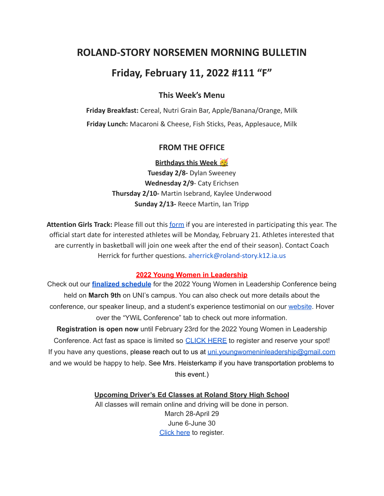# **ROLAND-STORY NORSEMEN MORNING BULLETIN**

# **Friday, February 11, 2022 #111 "F"**

# **This Week's Menu**

**Friday Breakfast:** Cereal, Nutri Grain Bar, Apple/Banana/Orange, Milk **Friday Lunch:** Macaroni & Cheese, Fish Sticks, Peas, Applesauce, Milk

### **FROM THE OFFICE**

**Birthdays this Week** 

**Tuesday 2/8-** Dylan Sweeney **Wednesday 2/9**- Caty Erichsen **Thursday 2/10-** Martin Isebrand, Kaylee Underwood **Sunday 2/13-** Reece Martin, Ian Tripp

**Attention Girls Track:** Please fill out this [form](https://forms.gle/DP81ofVAkQ73dqcBA) if you are interested in participating this year. The official start date for interested athletes will be Monday, February 21. Athletes interested that are currently in basketball will join one week after the end of their season). Contact Coach Herrick for further questions. aherrick@roland-story.k12.ia.us

#### **2022 Young Women in Leadership**

Check out our **finalized [schedule](http://www.uniwomeninbusiness.com/ywil-schedule.html)** for the 2022 Young Women in Leadership Conference being held on **March 9th** on UNI's campus. You can also check out more details about the conference, our speaker lineup, and a student's experience testimonial on our [website](http://www.uniwomeninbusiness.com/ywil-conference.html). Hover over the "YWiL Conference" tab to check out more information.

**Registration is open now** until February 23rd for the 2022 Young Women in Leadership Conference. Act fast as space is limited so [CLICK](https://event.formdash.org/2022/ywil/) HERE to register and reserve your spot! If you have any questions, please reach out to us at uni.youngwomeninleadership@gmail.com and we would be happy to help. See Mrs. Heisterkamp if you have transportation problems to this event.)

#### **Upcoming Driver's Ed Classes at Roland Story High School**

All classes will remain online and driving will be done in person. March 28-April 29 June 6-June 30 [Click](http://streetsmartsdriversed.com/) here to register.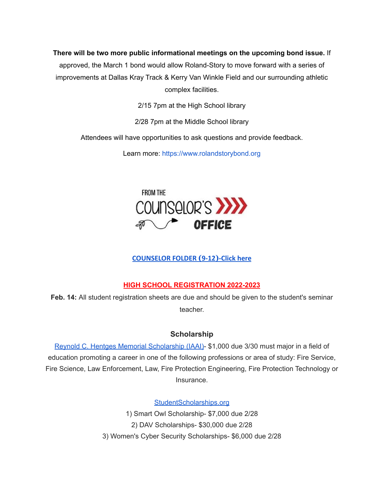**There will be two more public informational meetings on the upcoming bond issue.** If

approved, the March 1 bond would allow Roland-Story to move forward with a series of improvements at Dallas Kray Track & Kerry Van Winkle Field and our surrounding athletic complex facilities.

2/15 7pm at the High School library

2/28 7pm at the Middle School library

Attendees will have opportunities to ask questions and provide feedback.

Learn more: [https://www.rolandstorybond.org](https://www.rolandstorybond.org/?fbclid=IwAR3AJHhy8S8KvQsof-Z44UTrIBXDkOZFSdMyUXMovrg0bH3FkvkTprNkFuM)



# **[COUNSELOR FOLDER](https://docs.google.com/document/d/1vmwczNPbDzXe9vFaG5LJMQ7NYDv-i4oQJHybqA65TUc/edit?usp=sharing) (9-12)-Click here**

# **HIGH SCHOOL REGISTRATION 2022-2023**

**Feb. 14:** All student registration sheets are due and should be given to the student's seminar teacher.

## **Scholarship**

Reynold C. Hentges Memorial [Scholarship](https://drive.google.com/file/d/1hjWI_srze5__tTjHVbJ5z3zd1-S63qlS/view?usp=sharing) (IAAI)- \$1,000 due 3/30 must major in a field of education promoting a career in one of the following professions or area of study: Fire Service, Fire Science, Law Enforcement, Law, Fire Protection Engineering, Fire Protection Technology or Insurance.

[StudentScholarships.org](https://drive.google.com/file/d/1hV3dZAuh9FIeLf132rgQi86QgS7AQzZD/view?usp=sharing)

1) Smart Owl Scholarship- \$7,000 due 2/28 2) DAV Scholarships- \$30,000 due 2/28 3) Women's Cyber Security Scholarships- \$6,000 due 2/28